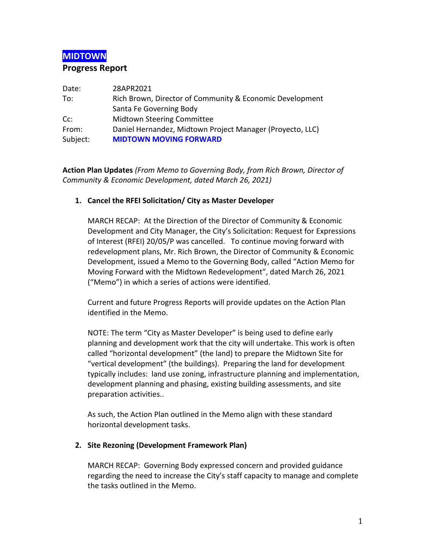# **MIDTOWN**

### **Progress Report**

| Date:    | 28APR2021                                                 |
|----------|-----------------------------------------------------------|
| To:      | Rich Brown, Director of Community & Economic Development  |
|          | Santa Fe Governing Body                                   |
| $Cc$ :   | <b>Midtown Steering Committee</b>                         |
| From:    | Daniel Hernandez, Midtown Project Manager (Proyecto, LLC) |
| Subject: | <b>MIDTOWN MOVING FORWARD</b>                             |

**Action Plan Updates** *(From Memo to Governing Body, from Rich Brown, Director of Community & Economic Development, dated March 26, 2021)*

### **1. Cancel the RFEI Solicitation/ City as Master Developer**

MARCH RECAP: At the Direction of the Director of Community & Economic Development and City Manager, the City's Solicitation: Request for Expressions of Interest (RFEI) 20/05/P was cancelled. To continue moving forward with redevelopment plans, Mr. Rich Brown, the Director of Community & Economic Development, issued a Memo to the Governing Body, called "Action Memo for Moving Forward with the Midtown Redevelopment", dated March 26, 2021 ("Memo") in which a series of actions were identified.

Current and future Progress Reports will provide updates on the Action Plan identified in the Memo.

NOTE: The term "City as Master Developer" is being used to define early planning and development work that the city will undertake. This work is often called "horizontal development" (the land) to prepare the Midtown Site for "vertical development" (the buildings). Preparing the land for development typically includes: land use zoning, infrastructure planning and implementation, development planning and phasing, existing building assessments, and site preparation activities..

As such, the Action Plan outlined in the Memo align with these standard horizontal development tasks.

### **2. Site Rezoning (Development Framework Plan)**

MARCH RECAP: Governing Body expressed concern and provided guidance regarding the need to increase the City's staff capacity to manage and complete the tasks outlined in the Memo.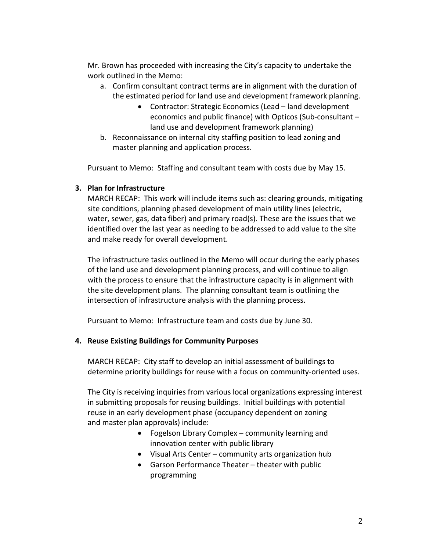Mr. Brown has proceeded with increasing the City's capacity to undertake the work outlined in the Memo:

- a. Confirm consultant contract terms are in alignment with the duration of the estimated period for land use and development framework planning.
	- Contractor: Strategic Economics (Lead land development economics and public finance) with Opticos (Sub-consultant – land use and development framework planning)
- b. Reconnaissance on internal city staffing position to lead zoning and master planning and application process.

Pursuant to Memo: Staffing and consultant team with costs due by May 15.

### **3. Plan for Infrastructure**

MARCH RECAP: This work will include items such as: clearing grounds, mitigating site conditions, planning phased development of main utility lines (electric, water, sewer, gas, data fiber) and primary road(s). These are the issues that we identified over the last year as needing to be addressed to add value to the site and make ready for overall development.

The infrastructure tasks outlined in the Memo will occur during the early phases of the land use and development planning process, and will continue to align with the process to ensure that the infrastructure capacity is in alignment with the site development plans. The planning consultant team is outlining the intersection of infrastructure analysis with the planning process.

Pursuant to Memo: Infrastructure team and costs due by June 30.

### **4. Reuse Existing Buildings for Community Purposes**

MARCH RECAP: City staff to develop an initial assessment of buildings to determine priority buildings for reuse with a focus on community-oriented uses.

The City is receiving inquiries from various local organizations expressing interest in submitting proposals for reusing buildings. Initial buildings with potential reuse in an early development phase (occupancy dependent on zoning and master plan approvals) include:

- Fogelson Library Complex community learning and innovation center with public library
- Visual Arts Center community arts organization hub
- Garson Performance Theater theater with public programming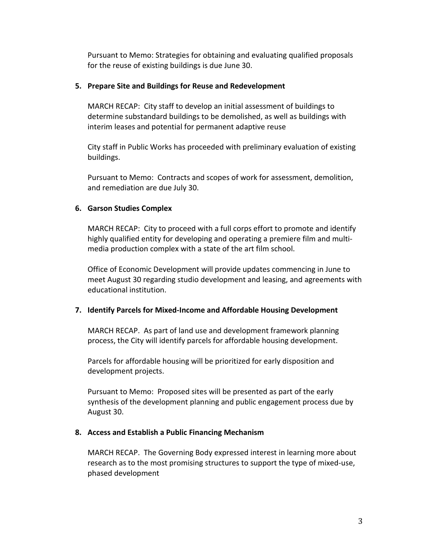Pursuant to Memo: Strategies for obtaining and evaluating qualified proposals for the reuse of existing buildings is due June 30.

#### **5. Prepare Site and Buildings for Reuse and Redevelopment**

MARCH RECAP: City staff to develop an initial assessment of buildings to determine substandard buildings to be demolished, as well as buildings with interim leases and potential for permanent adaptive reuse

City staff in Public Works has proceeded with preliminary evaluation of existing buildings.

Pursuant to Memo: Contracts and scopes of work for assessment, demolition, and remediation are due July 30.

#### **6. Garson Studies Complex**

MARCH RECAP: City to proceed with a full corps effort to promote and identify highly qualified entity for developing and operating a premiere film and multimedia production complex with a state of the art film school.

Office of Economic Development will provide updates commencing in June to meet August 30 regarding studio development and leasing, and agreements with educational institution.

#### **7. Identify Parcels for Mixed-Income and Affordable Housing Development**

MARCH RECAP. As part of land use and development framework planning process, the City will identify parcels for affordable housing development.

Parcels for affordable housing will be prioritized for early disposition and development projects.

Pursuant to Memo: Proposed sites will be presented as part of the early synthesis of the development planning and public engagement process due by August 30.

#### **8. Access and Establish a Public Financing Mechanism**

MARCH RECAP. The Governing Body expressed interest in learning more about research as to the most promising structures to support the type of mixed-use, phased development